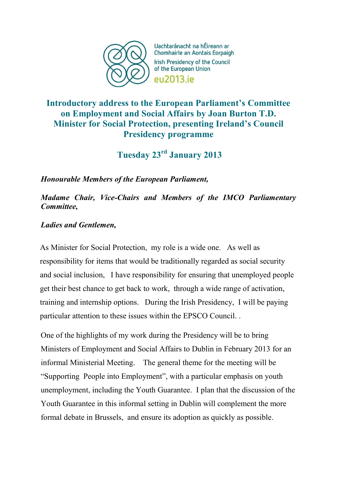

Uachtaránacht na hÉireann ar Chomhairle an Aontais Eorpaigh Irish Presidency of the Council of the European Union **PU2013** iP

# **Introductory address to the European Parliament's Committee on Employment and Social Affairs by Joan Burton T.D. Minister for Social Protection, presenting Ireland's Council Presidency programme**

**Tuesday 23rd January 2013** 

*Honourable Members of the European Parliament,* 

*Madame Chair, Vice-Chairs and Members of the IMCO Parliamentary Committee,* 

*Ladies and Gentlemen,*

As Minister for Social Protection, my role is a wide one. As well as responsibility for items that would be traditionally regarded as social security and social inclusion, I have responsibility for ensuring that unemployed people get their best chance to get back to work, through a wide range of activation, training and internship options. During the Irish Presidency, I will be paying particular attention to these issues within the EPSCO Council. .

One of the highlights of my work during the Presidency will be to bring Ministers of Employment and Social Affairs to Dublin in February 2013 for an informal Ministerial Meeting. The general theme for the meeting will be "Supporting People into Employment", with a particular emphasis on youth unemployment, including the Youth Guarantee. I plan that the discussion of the Youth Guarantee in this informal setting in Dublin will complement the more formal debate in Brussels, and ensure its adoption as quickly as possible.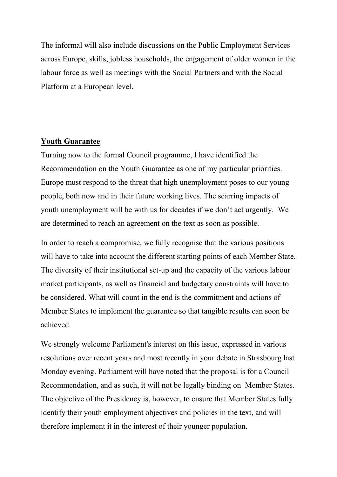The informal will also include discussions on the Public Employment Services across Europe, skills, jobless households, the engagement of older women in the labour force as well as meetings with the Social Partners and with the Social Platform at a European level.

### **Youth Guarantee**

Turning now to the formal Council programme, I have identified the Recommendation on the Youth Guarantee as one of my particular priorities. Europe must respond to the threat that high unemployment poses to our young people, both now and in their future working lives. The scarring impacts of youth unemployment will be with us for decades if we don't act urgently. We are determined to reach an agreement on the text as soon as possible.

In order to reach a compromise, we fully recognise that the various positions will have to take into account the different starting points of each Member State. The diversity of their institutional set-up and the capacity of the various labour market participants, as well as financial and budgetary constraints will have to be considered. What will count in the end is the commitment and actions of Member States to implement the guarantee so that tangible results can soon be achieved.

We strongly welcome Parliament's interest on this issue, expressed in various resolutions over recent years and most recently in your debate in Strasbourg last Monday evening. Parliament will have noted that the proposal is for a Council Recommendation, and as such, it will not be legally binding on Member States. The objective of the Presidency is, however, to ensure that Member States fully identify their youth employment objectives and policies in the text, and will therefore implement it in the interest of their younger population.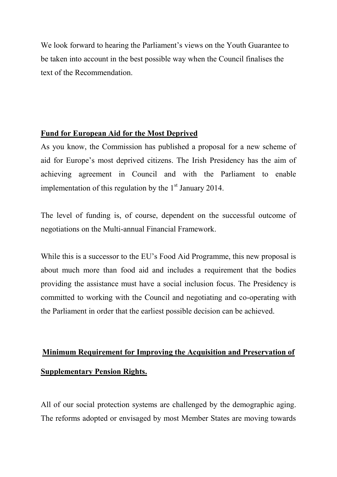We look forward to hearing the Parliament's views on the Youth Guarantee to be taken into account in the best possible way when the Council finalises the text of the Recommendation.

### **Fund for European Aid for the Most Deprived**

As you know, the Commission has published a proposal for a new scheme of aid for Europe's most deprived citizens. The Irish Presidency has the aim of achieving agreement in Council and with the Parliament to enable implementation of this regulation by the  $1<sup>st</sup>$  January 2014.

The level of funding is, of course, dependent on the successful outcome of negotiations on the Multi-annual Financial Framework.

While this is a successor to the EU's Food Aid Programme, this new proposal is about much more than food aid and includes a requirement that the bodies providing the assistance must have a social inclusion focus. The Presidency is committed to working with the Council and negotiating and co-operating with the Parliament in order that the earliest possible decision can be achieved.

# **Minimum Requirement for Improving the Acquisition and Preservation of Supplementary Pension Rights.**

All of our social protection systems are challenged by the demographic aging. The reforms adopted or envisaged by most Member States are moving towards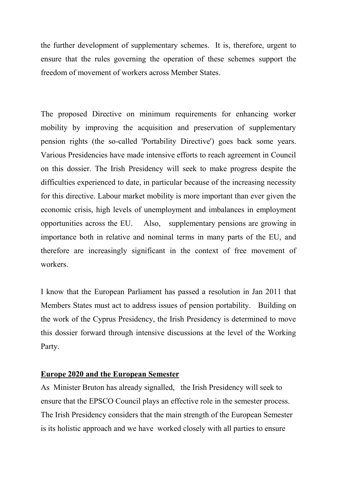the further development of supplementary schemes. It is, therefore, urgent to ensure that the rules governing the operation of these schemes support the freedom of movement of workers across Member States.

The proposed Directive on minimum requirements for enhancing worker mobility by improving the acquisition and preservation of supplementary pension rights (the so-called 'Portability Directive') goes back some years. Various Presidencies have made intensive efforts to reach agreement in Council on this dossier. The Irish Presidency will seek to make progress despite the difficulties experienced to date, in particular because of the increasing necessity for this directive. Labour market mobility is more important than ever given the economic crisis, high levels of unemployment and imbalances in employment opportunities across the EU. Also, supplementary pensions are growing in importance both in relative and nominal terms in many parts of the EU, and therefore are increasingly significant in the context of free movement of workers.

I know that the European Parliament has passed a resolution in Jan 2011 that Members States must act to address issues of pension portability. Building on the work of the Cyprus Presidency, the Irish Presidency is determined to move this dossier forward through intensive discussions at the level of the Working Party.

### **Europe 2020 and the European Semester**

As Minister Bruton has already signalled, the Irish Presidency will seek to ensure that the EPSCO Council plays an effective role in the semester process. The Irish Presidency considers that the main strength of the European Semester is its holistic approach and we have worked closely with all parties to ensure